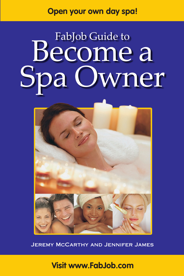#### **Open your own day spa!**

# FabJob Guide to Become a<br>Spa Owne Owner



Jeremy McCarthy and Jennifer James

## **Visit www.FabJob.com**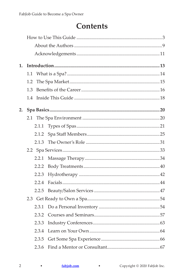#### **Contents**

| 1. |       |  |  |
|----|-------|--|--|
|    | 1.1   |  |  |
|    | 1.2   |  |  |
|    | 1.3   |  |  |
|    | 1.4   |  |  |
| 2. |       |  |  |
|    |       |  |  |
|    | 2.1.1 |  |  |
|    | 2.1.2 |  |  |
|    | 2.1.3 |  |  |
|    |       |  |  |
|    | 2.2.1 |  |  |
|    | 2.2.2 |  |  |
|    | 2.2.3 |  |  |
|    | 2.2.4 |  |  |
|    | 2.2.5 |  |  |
|    |       |  |  |
|    | 2.3.1 |  |  |
|    | 2.3.2 |  |  |
|    | 2.3.3 |  |  |
|    | 2.3.4 |  |  |
|    | 2.3.5 |  |  |
|    | 2.3.6 |  |  |

 $\bullet$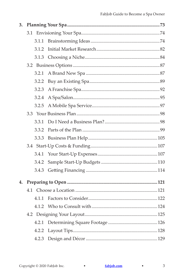| 3. |  |       |  |
|----|--|-------|--|
|    |  |       |  |
|    |  | 3.1.1 |  |
|    |  | 3.1.2 |  |
|    |  | 3.1.3 |  |
|    |  |       |  |
|    |  | 3.2.1 |  |
|    |  | 3.2.2 |  |
|    |  | 3.2.3 |  |
|    |  | 3.2.4 |  |
|    |  | 3.2.5 |  |
|    |  |       |  |
|    |  | 3.3.1 |  |
|    |  | 3.3.2 |  |
|    |  | 3.3.3 |  |
|    |  |       |  |
|    |  | 3.4.1 |  |
|    |  | 3.4.2 |  |
|    |  | 3.4.3 |  |
| 4. |  |       |  |
|    |  |       |  |
|    |  | 4.1.1 |  |
|    |  | 4.1.2 |  |
|    |  |       |  |
|    |  | 4.2.1 |  |
|    |  | 4.2.2 |  |
|    |  | 4.2.3 |  |

 $\mathcal{L}_{\text{max}}$  , and  $\mathcal{L}_{\text{max}}$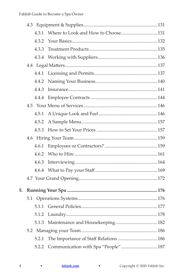|    |     | 4.3.1 |                                     |  |
|----|-----|-------|-------------------------------------|--|
|    |     | 4.3.2 |                                     |  |
|    |     | 4.3.3 |                                     |  |
|    |     |       |                                     |  |
|    |     |       |                                     |  |
|    |     | 4.4.1 |                                     |  |
|    |     | 4.4.2 |                                     |  |
|    |     | 4.4.3 |                                     |  |
|    |     | 4.4.4 |                                     |  |
|    |     |       |                                     |  |
|    |     |       |                                     |  |
|    |     | 4.5.2 |                                     |  |
|    |     | 4.5.3 |                                     |  |
|    |     |       |                                     |  |
|    |     | 4.6.1 |                                     |  |
|    |     | 4.6.2 |                                     |  |
|    |     | 4.6.3 |                                     |  |
|    |     |       |                                     |  |
|    |     |       |                                     |  |
| 5. |     |       |                                     |  |
|    |     |       |                                     |  |
|    |     | 5.1.1 |                                     |  |
|    |     |       |                                     |  |
|    |     | 5.1.3 |                                     |  |
|    | 5.2 |       |                                     |  |
|    |     | 5.2.1 |                                     |  |
|    |     | 5.2.2 |                                     |  |
|    |     |       | Communication with Spa "People" 187 |  |

 $\bullet$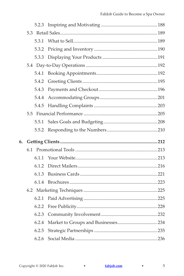|    |     | 5.3.1 |  |
|----|-----|-------|--|
|    |     | 5.3.2 |  |
|    |     | 5.3.3 |  |
|    |     |       |  |
|    |     | 5.4.1 |  |
|    |     | 5.4.2 |  |
|    |     | 5.4.3 |  |
|    |     | 5.4.4 |  |
|    |     | 5.4.5 |  |
|    |     |       |  |
|    |     | 5.5.1 |  |
|    |     | 5.5.2 |  |
|    |     |       |  |
| 6. |     |       |  |
|    | 6.1 |       |  |
|    |     | 6.1.1 |  |
|    |     | 6.1.2 |  |
|    |     | 6.1.3 |  |
|    |     | 6.1.4 |  |
|    |     |       |  |
|    |     | 6.2.1 |  |
|    |     | 6.2.2 |  |
|    |     | 6.2.3 |  |
|    |     | 6.2.4 |  |
|    |     | 6.2.5 |  |

 $\mathcal{L}^{\mathcal{L}}(\mathbf{0},\mathbf{0})$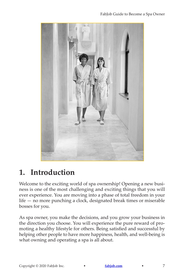<span id="page-6-0"></span>

# **1. Introduction**

Welcome to the exciting world of spa ownership! Opening a new business is one of the most challenging and exciting things that you will ever experience. You are moving into a phase of total freedom in your life — no more punching a clock, designated break times or miserable bosses for you.

As spa owner, you make the decisions, and you grow your business in the direction you choose. You will experience the pure reward of promoting a healthy lifestyle for others. Being satisfied and successful by helping other people to have more happiness, health, and well-being is what owning and operating a spa is all about.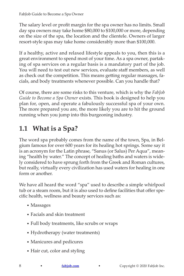<span id="page-7-0"></span>The salary level or profit margin for the spa owner has no limits. Small day spa owners may take home \$80,000 to \$100,000 or more, depending on the size of the spa, the location and the clientele. Owners of larger resort-style spas may take home considerably more than \$100,000.

If a healthy, active and relaxed lifestyle appeals to you, then this is a great environment to spend most of your time. As a spa owner, partaking of spa services on a regular basis is a mandatory part of the job. You will need to test out new services, evaluate staff members, as well as check out the competition. This means getting regular massages, facials, and body treatments whenever possible. Can you handle that?

Of course, there are some risks to this venture, which is why the *FabJob Guide to Become a Spa Owner* exists. This book is designed to help you plan for, open, and operate a fabulously successful spa of your own. The more prepared you are, the more likely you are to hit the ground running when you jump into this burgeoning industry.

## **1.1 What is a Spa?**

The word spa probably comes from the name of the town, Spa, in Belgium famous for over 600 years for its healing hot springs. Some say it is an acronym for the Latin phrase, "Sanus (or Salus) Per Aqua", meaning "health by water." The concept of healing baths and waters is widely considered to have sprung forth from the Greek and Roman cultures, but really, virtually every civilization has used waters for healing in one form or another.

We have all heard the word "spa" used to describe a simple whirlpool tub or a steam room, but it is also used to define facilities that offer specific health, wellness and beauty services such as:

- Massages
- Facials and skin treatment
- Full body treatments, like scrubs or wraps
- Hydrotherapy (water treatments)
- Manicures and pedicures
- Hair cut, color and styling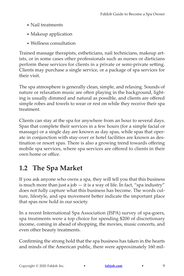- <span id="page-8-0"></span>• Nail treatments
- Makeup application
- Wellness consultation

Trained massage therapists, estheticians, nail technicians, makeup artists, or in some cases other professionals such as nurses or dieticians perform these services for clients in a private or semi-private setting. Clients may purchase a single service, or a package of spa services for their visit.

The spa atmosphere is generally clean, simple, and relaxing. Sounds of nature or relaxation music are often playing in the background, lighting is usually dimmed and natural as possible, and clients are offered simple robes and towels to wear or rest on while they receive their spa treatment.

Clients can stay at the spa for anywhere from an hour to several days. Spas that complete their services in a few hours (for a simple facial or massage) or a single day are known as day spas, while spas that operate in conjunction with stay-over or hotel facilities are known as destination or resort spas. There is also a growing trend towards offering mobile spa services, where spa services are offered to clients in their own home or office.

### **1.2 The Spa Market**

If you ask anyone who owns a spa, they will tell you that this business is much more than just a job  $-$  it is a way of life. In fact, "spa industry" does not fully capture what this business has become. The words culture, lifestyle, and spa movement better indicate the important place that spas now hold in our society.

In a recent International Spa Association (ISPA) survey of spa-goers, spa treatments were a top choice for spending \$200 of discretionary income, coming in ahead of shopping, the movies, music concerts, and even other beauty treatments.

Confirming the strong hold that the spa business has taken in the hearts and minds of the American public, there were approximately 160 mil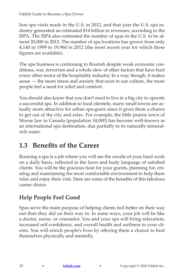<span id="page-9-0"></span>lion spa visits made in the U.S. in 2012, and that year the U.S. spa industry generated an estimated \$14 billion in revenues, according to the ISPA. The ISPA also estimated the number of spas in the U.S. to be almost 20,000 in 2012. The number of spa locations has grown from only 4,140 in 1999 to 19,960 in 2012 (the most recent year for which these figures are available).

The spa business is continuing to flourish despite weak economic conditions, war, terrorism and a whole slew of other factors that have hurt every other sector of the hospitality industry. In a way, though, it makes sense — the more stress and anxiety that exist in our culture, the more people feel a need for relief and comfort.

You should also know that you don't need to live in a big city to operate a successful spa. In addition to local clientele, many small towns are actually more attractive for urban spa-goers since it gives them a chance to get out of the city and relax. For example, the little prairie town of Moose Jaw in Canada (population 34,000) has become well-known as an international spa destination, due partially to its naturally mineralrich water.

### **1.3 Benefits of the Career**

Running a spa is a job where you will see the results of your hard work on a daily basis, reflected in the faces and body language of satisfied clients. You will be the gracious host for your guests, planning for, creating and maintaining the most comfortable environment to help them relax and enjoy their visit. Here are some of the benefits of this fabulous career choice.

#### **Help People Feel Good**

Spas serve the main purpose of helping clients feel better on their way out than they did on their way in. In some ways, your job will be like a doctor, nurse, or counselor. You and your spa will bring relaxation, increased self-confidence, and overall health and wellness to your clients. You will enrich people's lives by offering them a chance to heal themselves physically and mentally.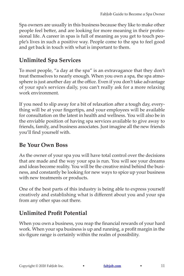Spa owners are usually in this business because they like to make other people feel better, and are looking for more meaning in their professional life. A career in spas is full of meaning as you get to touch people's lives in such a positive way. People come to the spa to feel good and get back in touch with what is important to them.

#### **Unlimited Spa Services**

To most people, "a day at the spa" is an extravagance that they don't treat themselves to nearly enough. When you own a spa, the spa atmosphere is just another day at the office. Even if you don't take advantage of your spa's services daily, you can't really ask for a more relaxing work environment.

If you need to slip away for a bit of relaxation after a tough day, everything will be at your fingertips, and your employees will be available for consultation on the latest in health and wellness. You will also be in the enviable position of having spa services available to give away to friends, family, and business associates. Just imagine all the new friends you'll find yourself with.

#### **Be Your Own Boss**

As the owner of your spa you will have total control over the decisions that are made and the way your spa is run. You will see your dreams and ideas become reality. You will be the creative mind behind the business, and constantly be looking for new ways to spice up your business with new treatments or products.

One of the best parts of this industry is being able to express yourself creatively and establishing what is different about you and your spa from any other spas out there.

#### **Unlimited Profit Potential**

When you own a business, you reap the financial rewards of your hard work. When your spa business is up and running, a profit margin in the six-figure range is certainly within the realm of possibility.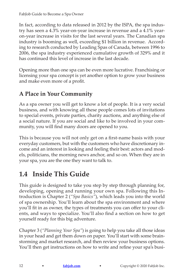<span id="page-11-0"></span>In fact, according to data released in 2012 by the ISPA, the spa industry has seen a 4.3% year-on-year increase in revenue and a 4.1% yearon-year increase in visits for the last several years. The Canadian spa industry is booming as well, exceeding \$1 billion in revenue. According to research conducted by Leading Spas of Canada, between 1996 to 2006, the spa industry experienced cumulative growth of 329% and it has continued this level of increase in the last decade.

Opening more than one spa can be even more lucrative. Franchising or licensing your spa concept is yet another option to grow your business and make even more of a profit.

#### **A Place in Your Community**

As a spa owner you will get to know a lot of people. It is a very social business, and with knowing all these people comes lots of invitations to special events, private parties, charity auctions, and anything else of a social nature. If you are social and like to be involved in your community, you will find many doors are opened to you.

This is because you will not only get on a first-name basis with your everyday customers, but with the customers who have discretionary income and an interest in looking and feeling their best: actors and models, politicians, the morning news anchor, and so on. When they are in your spa, you are the one they want to talk to.

## **1.4 Inside This Guide**

This guide is designed to take you step by step through planning for, developing, opening and running your own spa. Following this Introduction is Chapter 2 (*"Spa Basics"*), which leads you into the world of spa ownership. You'll learn about the spa environment and where you'll fit in as owner, the types of treatments you can offer to your clients, and ways to specialize. You'll also find a section on how to get yourself ready for this big adventure.

Chapter 3 (*"Planning Your Spa"*) is going to help you take all those ideas in your head and get them down on paper. You'll start with some brainstorming and market research, and then review your business options. You'll then get instructions on how to write and refine your spa's busi